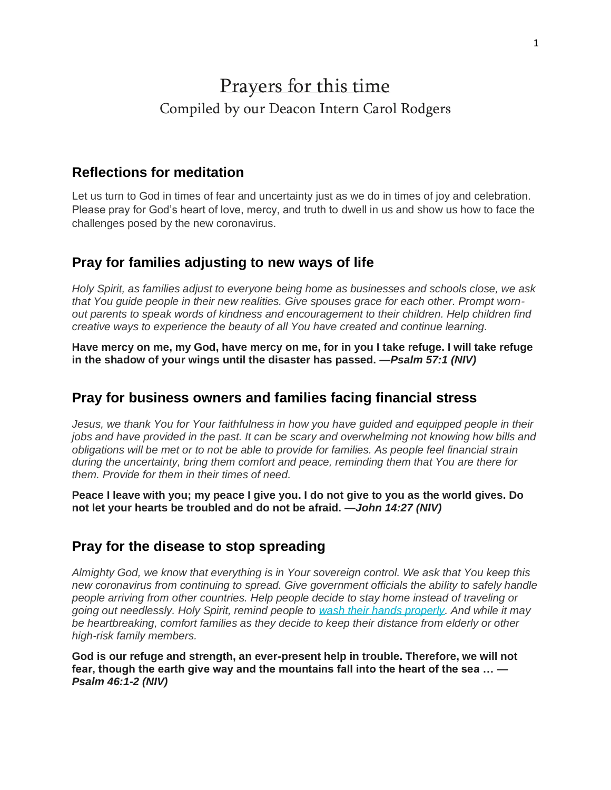# Prayers for this time Compiled by our Deacon Intern Carol Rodgers

## **Reflections for meditation**

Let us turn to God in times of fear and uncertainty just as we do in times of joy and celebration. Please pray for God's heart of love, mercy, and truth to dwell in us and show us how to face the challenges posed by the new coronavirus.

# **Pray for families adjusting to new ways of life**

*Holy Spirit, as families adjust to everyone being home as businesses and schools close, we ask that You guide people in their new realities. Give spouses grace for each other. Prompt wornout parents to speak words of kindness and encouragement to their children. Help children find creative ways to experience the beauty of all You have created and continue learning.*

**Have mercy on me, my God, have mercy on me, for in you I take refuge. I will take refuge in the shadow of your wings until the disaster has passed.** *—Psalm 57:1 (NIV)*

## **Pray for business owners and families facing financial stress**

*Jesus, we thank You for Your faithfulness in how you have guided and equipped people in their jobs and have provided in the past. It can be scary and overwhelming not knowing how bills and obligations will be met or to not be able to provide for families. As people feel financial strain during the uncertainty, bring them comfort and peace, reminding them that You are there for them. Provide for them in their times of need.*

**Peace I leave with you; my peace I give you. I do not give to you as the world gives. Do not let your hearts be troubled and do not be afraid.** *—John 14:27 (NIV)*

#### **Pray for the disease to stop spreading**

*Almighty God, we know that everything is in Your sovereign control. We ask that You keep this new coronavirus from continuing to spread. Give government officials the ability to safely handle people arriving from other countries. Help people decide to stay home instead of traveling or going out needlessly. Holy Spirit, remind people to [wash their hands properly.](https://www.worldvision.org/clean-water-news-stories/how-to-wash-your-hands) And while it may be heartbreaking, comfort families as they decide to keep their distance from elderly or other high-risk family members.* 

**God is our refuge and strength, an ever-present help in trouble. Therefore, we will not fear, though the earth give way and the mountains fall into the heart of the sea …** *— Psalm 46:1-2 (NIV)*